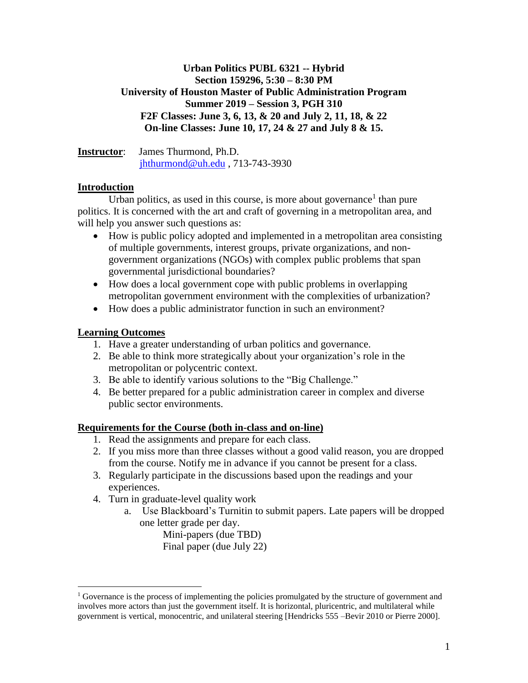# **Urban Politics PUBL 6321 -- Hybrid Section 159296, 5:30 – 8:30 PM University of Houston Master of Public Administration Program Summer 2019 – Session 3, PGH 310 F2F Classes: June 3, 6, 13, & 20 and July 2, 11, 18, & 22 On-line Classes: June 10, 17, 24 & 27 and July 8 & 15.**

**Instructor**: James Thurmond, Ph.D. [jhthurmond@uh.edu](mailto:jhthurmond@uh.edu) , 713-743-3930

# **Introduction**

Urban politics, as used in this course, is more about governance<sup>1</sup> than pure politics. It is concerned with the art and craft of governing in a metropolitan area, and will help you answer such questions as:

- How is public policy adopted and implemented in a metropolitan area consisting of multiple governments, interest groups, private organizations, and nongovernment organizations (NGOs) with complex public problems that span governmental jurisdictional boundaries?
- How does a local government cope with public problems in overlapping metropolitan government environment with the complexities of urbanization?
- How does a public administrator function in such an environment?

### **Learning Outcomes**

 $\overline{a}$ 

- 1. Have a greater understanding of urban politics and governance.
- 2. Be able to think more strategically about your organization's role in the metropolitan or polycentric context.
- 3. Be able to identify various solutions to the "Big Challenge."
- 4. Be better prepared for a public administration career in complex and diverse public sector environments.

# **Requirements for the Course (both in-class and on-line)**

- 1. Read the assignments and prepare for each class.
- 2. If you miss more than three classes without a good valid reason, you are dropped from the course. Notify me in advance if you cannot be present for a class.
- 3. Regularly participate in the discussions based upon the readings and your experiences.
- 4. Turn in graduate-level quality work
	- a. Use Blackboard's Turnitin to submit papers. Late papers will be dropped one letter grade per day.

Mini-papers (due TBD) Final paper (due July 22)

<sup>1</sup> Governance is the process of implementing the policies promulgated by the structure of government and involves more actors than just the government itself. It is horizontal, pluricentric, and multilateral while government is vertical, monocentric, and unilateral steering [Hendricks 555 –Bevir 2010 or Pierre 2000].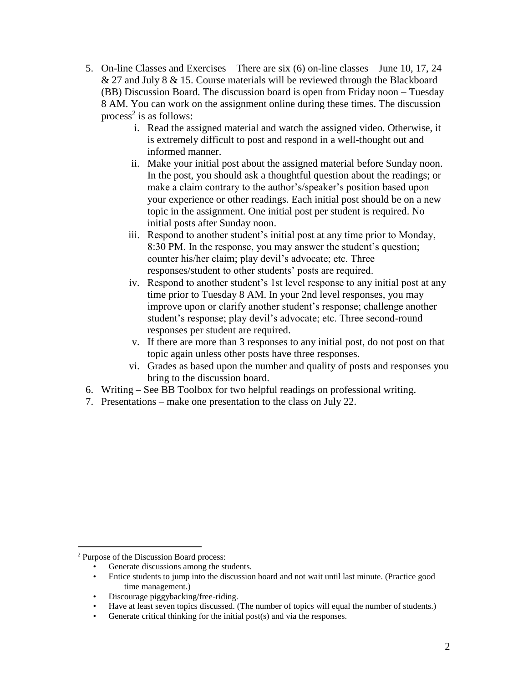- 5. On-line Classes and Exercises There are six (6) on-line classes June 10, 17, 24 & 27 and July 8 & 15. Course materials will be reviewed through the Blackboard (BB) Discussion Board. The discussion board is open from Friday noon – Tuesday 8 AM. You can work on the assignment online during these times. The discussion process<sup>2</sup> is as follows:
	- i. Read the assigned material and watch the assigned video. Otherwise, it is extremely difficult to post and respond in a well-thought out and informed manner.
	- ii. Make your initial post about the assigned material before Sunday noon. In the post, you should ask a thoughtful question about the readings; or make a claim contrary to the author's/speaker's position based upon your experience or other readings. Each initial post should be on a new topic in the assignment. One initial post per student is required. No initial posts after Sunday noon.
	- iii. Respond to another student's initial post at any time prior to Monday, 8:30 PM. In the response, you may answer the student's question; counter his/her claim; play devil's advocate; etc. Three responses/student to other students' posts are required.
	- iv. Respond to another student's 1st level response to any initial post at any time prior to Tuesday 8 AM. In your 2nd level responses, you may improve upon or clarify another student's response; challenge another student's response; play devil's advocate; etc. Three second-round responses per student are required.
	- v. If there are more than 3 responses to any initial post, do not post on that topic again unless other posts have three responses.
	- vi. Grades as based upon the number and quality of posts and responses you bring to the discussion board.
- 6. Writing See BB Toolbox for two helpful readings on professional writing.
- 7. Presentations make one presentation to the class on July 22.

 $\overline{a}$ 

- Generate discussions among the students.
- Entice students to jump into the discussion board and not wait until last minute. (Practice good time management.)
- Discourage piggybacking/free-riding.
- Have at least seven topics discussed. (The number of topics will equal the number of students.)
- Generate critical thinking for the initial post(s) and via the responses.

<sup>&</sup>lt;sup>2</sup> Purpose of the Discussion Board process: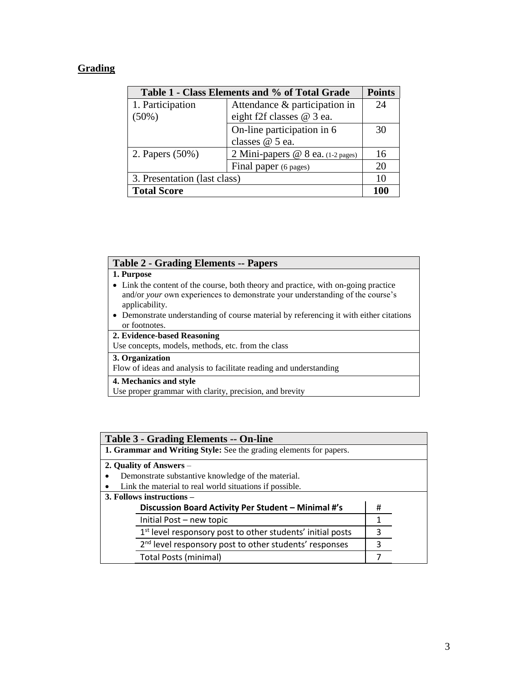## **Grading**

| Table 1 - Class Elements and % of Total Grade |                                     |     |
|-----------------------------------------------|-------------------------------------|-----|
| 1. Participation                              | Attendance & participation in       | 24  |
| $(50\%)$                                      | eight f2f classes @ 3 ea.           |     |
|                                               | On-line participation in 6          | 30  |
|                                               | classes @ 5 ea.                     |     |
| 2. Papers (50%)                               | 2 Mini-papers $@ 8$ ea. (1-2 pages) | 16  |
|                                               | Final paper (6 pages)               | 20  |
| 3. Presentation (last class)                  |                                     | 10  |
| <b>Total Score</b>                            |                                     | 100 |

### **Table 2 - Grading Elements -- Papers**

#### **1. Purpose**

- Link the content of the course, both theory and practice, with on-going practice and/or *your* own experiences to demonstrate your understanding of the course's applicability.
- Demonstrate understanding of course material by referencing it with either citations or footnotes.

### **2. Evidence-based Reasoning**

Use concepts, models, methods, etc. from the class

### **3. Organization**

Flow of ideas and analysis to facilitate reading and understanding

#### **4. Mechanics and style**

Use proper grammar with clarity, precision, and brevity

| <b>Table 3 - Grading Elements -- On-line</b>                           |   |  |
|------------------------------------------------------------------------|---|--|
| 1. Grammar and Writing Style: See the grading elements for papers.     |   |  |
| 2. Quality of Answers –                                                |   |  |
| Demonstrate substantive knowledge of the material.                     |   |  |
| Link the material to real world situations if possible.                |   |  |
| 3. Follows instructions –                                              |   |  |
| Discussion Board Activity Per Student - Minimal #'s                    | # |  |
| Initial Post - new topic                                               | 1 |  |
| 1 <sup>st</sup> level responsory post to other students' initial posts | 3 |  |
| 2 <sup>nd</sup> level responsory post to other students' responses     | 3 |  |
| Total Posts (minimal)                                                  |   |  |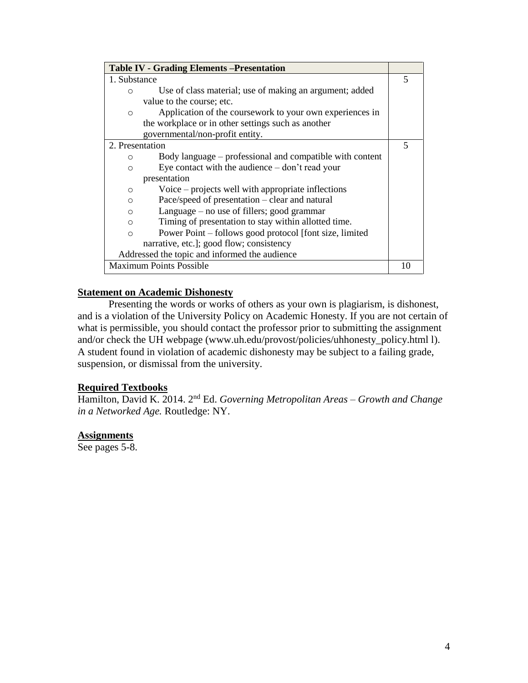| <b>Table IV - Grading Elements - Presentation</b>                   |    |
|---------------------------------------------------------------------|----|
| 1. Substance                                                        | 5  |
| Use of class material; use of making an argument; added<br>∩        |    |
| value to the course; etc.                                           |    |
| Application of the coursework to your own experiences in<br>$\circ$ |    |
| the workplace or in other settings such as another                  |    |
| governmental/non-profit entity.                                     |    |
| 2. Presentation                                                     | 5  |
| Body language – professional and compatible with content<br>O       |    |
| Eye contact with the audience $-\text{don't read your}$<br>$\Omega$ |    |
| presentation                                                        |    |
| Voice $-$ projects well with appropriate inflections<br>$\circ$     |    |
| Pace/speed of presentation – clear and natural<br>$\circ$           |    |
| Language $-$ no use of fillers; good grammar<br>$\circ$             |    |
| Timing of presentation to stay within allotted time.<br>$\circ$     |    |
| Power Point – follows good protocol [font size, limited]<br>$\circ$ |    |
| narrative, etc.]; good flow; consistency                            |    |
| Addressed the topic and informed the audience                       |    |
| <b>Maximum Points Possible</b>                                      | 10 |

### **Statement on Academic Dishonesty**

Presenting the words or works of others as your own is plagiarism, is dishonest, and is a violation of the University Policy on Academic Honesty. If you are not certain of what is permissible, you should contact the professor prior to submitting the assignment and/or check the UH webpage (www.uh.edu/provost/policies/uhhonesty\_policy.html l). A student found in violation of academic dishonesty may be subject to a failing grade, suspension, or dismissal from the university.

### **Required Textbooks**

Hamilton, David K. 2014. 2nd Ed. *Governing Metropolitan Areas – Growth and Change in a Networked Age.* Routledge: NY.

### **Assignments**

See pages 5-8.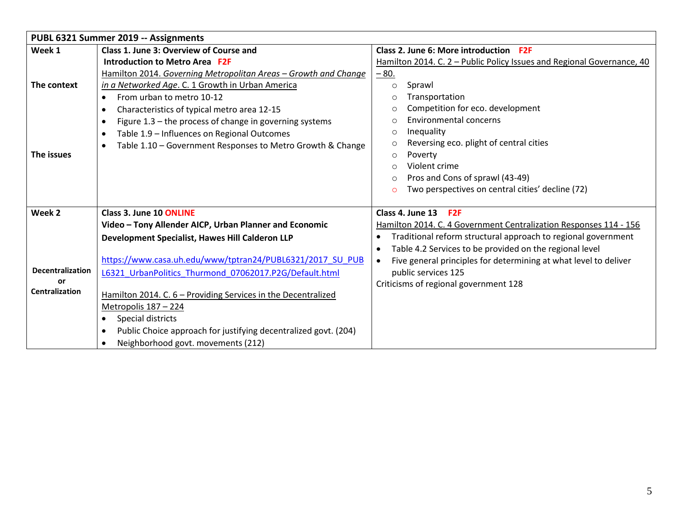|                         | PUBL 6321 Summer 2019 -- Assignments                                         |                                                                               |
|-------------------------|------------------------------------------------------------------------------|-------------------------------------------------------------------------------|
| Week 1                  | Class 1. June 3: Overview of Course and                                      | Class 2. June 6: More introduction F2F                                        |
|                         | Introduction to Metro Area F2F                                               | Hamilton 2014. C. 2 - Public Policy Issues and Regional Governance, 40        |
|                         | Hamilton 2014. Governing Metropolitan Areas - Growth and Change              | $-80.$                                                                        |
| The context             | in a Networked Age. C. 1 Growth in Urban America                             | Sprawl<br>$\circ$                                                             |
|                         | From urban to metro 10-12<br>$\bullet$                                       | Transportation<br>$\Omega$                                                    |
|                         | Characteristics of typical metro area 12-15<br>$\bullet$                     | Competition for eco. development<br>$\circ$                                   |
|                         | Figure 1.3 - the process of change in governing systems<br>$\bullet$         | <b>Environmental concerns</b><br>$\Omega$                                     |
|                         | Table 1.9 - Influences on Regional Outcomes<br>$\bullet$                     | Inequality<br>$\circ$                                                         |
|                         | Table 1.10 - Government Responses to Metro Growth & Change<br>$\bullet$      | Reversing eco. plight of central cities<br>$\circ$                            |
| The issues              |                                                                              | Poverty<br>$\circ$                                                            |
|                         |                                                                              | Violent crime<br>$\bigcirc$                                                   |
|                         |                                                                              | Pros and Cons of sprawl (43-49)<br>$\Omega$                                   |
|                         |                                                                              | Two perspectives on central cities' decline (72)<br>$\overline{C}$            |
| Week 2                  | Class 3. June 10 ONLINE                                                      | Class 4. June 13<br>F <sub>2F</sub>                                           |
|                         | Video - Tony Allender AICP, Urban Planner and Economic                       | Hamilton 2014. C. 4 Government Centralization Responses 114 - 156             |
|                         | Development Specialist, Hawes Hill Calderon LLP                              | Traditional reform structural approach to regional government                 |
|                         |                                                                              | Table 4.2 Services to be provided on the regional level                       |
|                         | https://www.casa.uh.edu/www/tptran24/PUBL6321/2017 SU PUB                    | Five general principles for determining at what level to deliver<br>$\bullet$ |
| <b>Decentralization</b> | L6321 UrbanPolitics Thurmond 07062017.P2G/Default.html                       | public services 125                                                           |
| or                      |                                                                              | Criticisms of regional government 128                                         |
| Centralization          | Hamilton 2014. C. 6 - Providing Services in the Decentralized                |                                                                               |
|                         | Metropolis 187 - 224                                                         |                                                                               |
|                         | Special districts                                                            |                                                                               |
|                         | Public Choice approach for justifying decentralized govt. (204)<br>$\bullet$ |                                                                               |
|                         | Neighborhood govt. movements (212)<br>$\bullet$                              |                                                                               |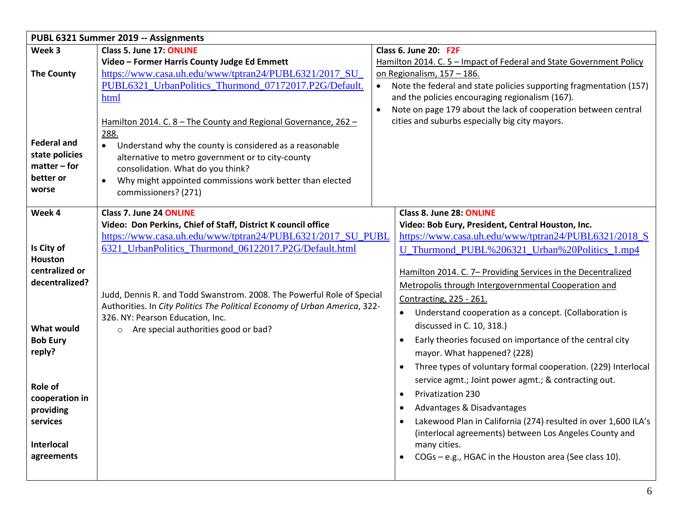|                           | PUBL 6321 Summer 2019 -- Assignments                                       |  |                                                                       |
|---------------------------|----------------------------------------------------------------------------|--|-----------------------------------------------------------------------|
| Week 3                    | Class 5. June 17: ONLINE                                                   |  | Class 6. June 20: F2F                                                 |
|                           | Video - Former Harris County Judge Ed Emmett                               |  | Hamilton 2014. C. 5 - Impact of Federal and State Government Policy   |
| <b>The County</b>         | https://www.casa.uh.edu/www/tptran24/PUBL6321/2017_SU_                     |  | on Regionalism, 157 - 186.                                            |
|                           | PUBL6321_UrbanPolitics_Thurmond_07172017.P2G/Default.                      |  | Note the federal and state policies supporting fragmentation (157)    |
|                           | html                                                                       |  | and the policies encouraging regionalism (167).                       |
|                           |                                                                            |  | Note on page 179 about the lack of cooperation between central        |
|                           | Hamilton 2014. C. 8 - The County and Regional Governance, 262 -            |  | cities and suburbs especially big city mayors.                        |
|                           | 288.                                                                       |  |                                                                       |
| <b>Federal and</b>        | Understand why the county is considered as a reasonable<br>$\bullet$       |  |                                                                       |
| state policies            | alternative to metro government or to city-county                          |  |                                                                       |
| $matter$ – for            | consolidation. What do you think?                                          |  |                                                                       |
| better or                 | Why might appointed commissions work better than elected<br>$\bullet$      |  |                                                                       |
| worse                     | commissioners? (271)                                                       |  |                                                                       |
| Week 4                    | Class 7. June 24 ONLINE                                                    |  | Class 8. June 28: ONLINE                                              |
|                           | Video: Don Perkins, Chief of Staff, District K council office              |  | Video: Bob Eury, President, Central Houston, Inc.                     |
|                           | https://www.casa.uh.edu/www/tptran24/PUBL6321/2017 SU PUBL                 |  | https://www.casa.uh.edu/www/tptran24/PUBL6321/2018 S                  |
| Is City of                | 6321 UrbanPolitics Thurmond 06122017.P2G/Default.html                      |  | U_Thurmond_PUBL%206321_Urban%20Politics_1.mp4                         |
| <b>Houston</b>            |                                                                            |  |                                                                       |
| centralized or            |                                                                            |  | Hamilton 2014. C. 7- Providing Services in the Decentralized          |
| decentralized?            |                                                                            |  | Metropolis through Intergovernmental Cooperation and                  |
|                           | Judd, Dennis R. and Todd Swanstrom. 2008. The Powerful Role of Special     |  | <b>Contracting, 225 - 261.</b>                                        |
|                           | Authorities. In City Politics The Political Economy of Urban America, 322- |  | Understand cooperation as a concept. (Collaboration is                |
| <b>What would</b>         | 326. NY: Pearson Education, Inc.<br>o Are special authorities good or bad? |  | discussed in C. 10, 318.)                                             |
| <b>Bob Eury</b>           |                                                                            |  | Early theories focused on importance of the central city<br>$\bullet$ |
| reply?                    |                                                                            |  | mayor. What happened? (228)                                           |
|                           |                                                                            |  | Three types of voluntary formal cooperation. (229) Interlocal         |
|                           |                                                                            |  | service agmt.; Joint power agmt.; & contracting out.                  |
| Role of<br>cooperation in |                                                                            |  | <b>Privatization 230</b><br>$\bullet$                                 |
| providing                 |                                                                            |  | Advantages & Disadvantages<br>$\bullet$                               |
| services                  |                                                                            |  | Lakewood Plan in California (274) resulted in over 1,600 ILA's        |
|                           |                                                                            |  | (interlocal agreements) between Los Angeles County and                |
| <b>Interlocal</b>         |                                                                            |  | many cities.                                                          |
| agreements                |                                                                            |  | COGs - e.g., HGAC in the Houston area (See class 10).                 |
|                           |                                                                            |  |                                                                       |
|                           |                                                                            |  |                                                                       |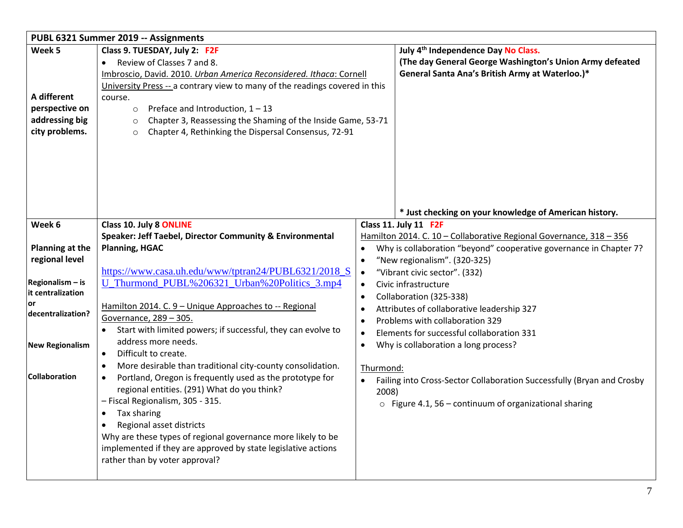|                                | PUBL 6321 Summer 2019 -- Assignments                                        |           |                                                                        |  |
|--------------------------------|-----------------------------------------------------------------------------|-----------|------------------------------------------------------------------------|--|
| Week 5                         | Class 9. TUESDAY, July 2: F2F                                               |           | July 4 <sup>th</sup> Independence Day No Class.                        |  |
|                                | Review of Classes 7 and 8.                                                  |           | (The day General George Washington's Union Army defeated               |  |
|                                | Imbroscio, David. 2010. Urban America Reconsidered. Ithaca: Cornell         |           | General Santa Ana's British Army at Waterloo.)*                        |  |
|                                | University Press -- a contrary view to many of the readings covered in this |           |                                                                        |  |
| A different                    | course.                                                                     |           |                                                                        |  |
| perspective on                 | Preface and Introduction, $1 - 13$<br>$\circ$                               |           |                                                                        |  |
| addressing big                 | Chapter 3, Reassessing the Shaming of the Inside Game, 53-71<br>$\circ$     |           |                                                                        |  |
| city problems.                 | Chapter 4, Rethinking the Dispersal Consensus, 72-91<br>$\circ$             |           |                                                                        |  |
|                                |                                                                             |           |                                                                        |  |
|                                |                                                                             |           |                                                                        |  |
|                                |                                                                             |           |                                                                        |  |
|                                |                                                                             |           |                                                                        |  |
|                                |                                                                             |           |                                                                        |  |
|                                |                                                                             |           |                                                                        |  |
|                                |                                                                             |           | * Just checking on your knowledge of American history.                 |  |
| Week 6                         | <b>Class 10. July 8 ONLINE</b>                                              |           | Class 11. July 11 F2F                                                  |  |
|                                | Speaker: Jeff Taebel, Director Community & Environmental                    |           | Hamilton 2014. C. 10 - Collaborative Regional Governance, 318 - 356    |  |
| Planning at the                | <b>Planning, HGAC</b>                                                       | $\bullet$ | Why is collaboration "beyond" cooperative governance in Chapter 7?     |  |
| regional level                 |                                                                             | $\bullet$ | "New regionalism". (320-325)                                           |  |
|                                | https://www.casa.uh.edu/www/tptran24/PUBL6321/2018_S                        | $\bullet$ | "Vibrant civic sector". (332)                                          |  |
| Regionalism - is               | U_Thurmond_PUBL%206321_Urban%20Politics_3.mp4                               | $\bullet$ | Civic infrastructure                                                   |  |
| it centralization              |                                                                             | $\bullet$ | Collaboration (325-338)                                                |  |
| <b>or</b><br>decentralization? | Hamilton 2014. C. 9 - Unique Approaches to -- Regional                      |           | Attributes of collaborative leadership 327                             |  |
|                                | Governance, 289 - 305.                                                      | $\bullet$ | Problems with collaboration 329                                        |  |
|                                | Start with limited powers; if successful, they can evolve to                | $\bullet$ | Elements for successful collaboration 331                              |  |
| <b>New Regionalism</b>         | address more needs.                                                         | $\bullet$ | Why is collaboration a long process?                                   |  |
|                                | Difficult to create.<br>$\bullet$                                           |           |                                                                        |  |
|                                | More desirable than traditional city-county consolidation.<br>$\bullet$     | Thurmond: |                                                                        |  |
| <b>Collaboration</b>           | Portland, Oregon is frequently used as the prototype for<br>$\bullet$       |           | Failing into Cross-Sector Collaboration Successfully (Bryan and Crosby |  |
|                                | regional entities. (291) What do you think?                                 | 2008)     |                                                                        |  |
|                                | - Fiscal Regionalism, 305 - 315.                                            |           | $\circ$ Figure 4.1, 56 – continuum of organizational sharing           |  |
|                                | Tax sharing<br>٠                                                            |           |                                                                        |  |
|                                | Regional asset districts<br>$\bullet$                                       |           |                                                                        |  |
|                                | Why are these types of regional governance more likely to be                |           |                                                                        |  |
|                                | implemented if they are approved by state legislative actions               |           |                                                                        |  |
|                                | rather than by voter approval?                                              |           |                                                                        |  |
|                                |                                                                             |           |                                                                        |  |
|                                |                                                                             |           |                                                                        |  |